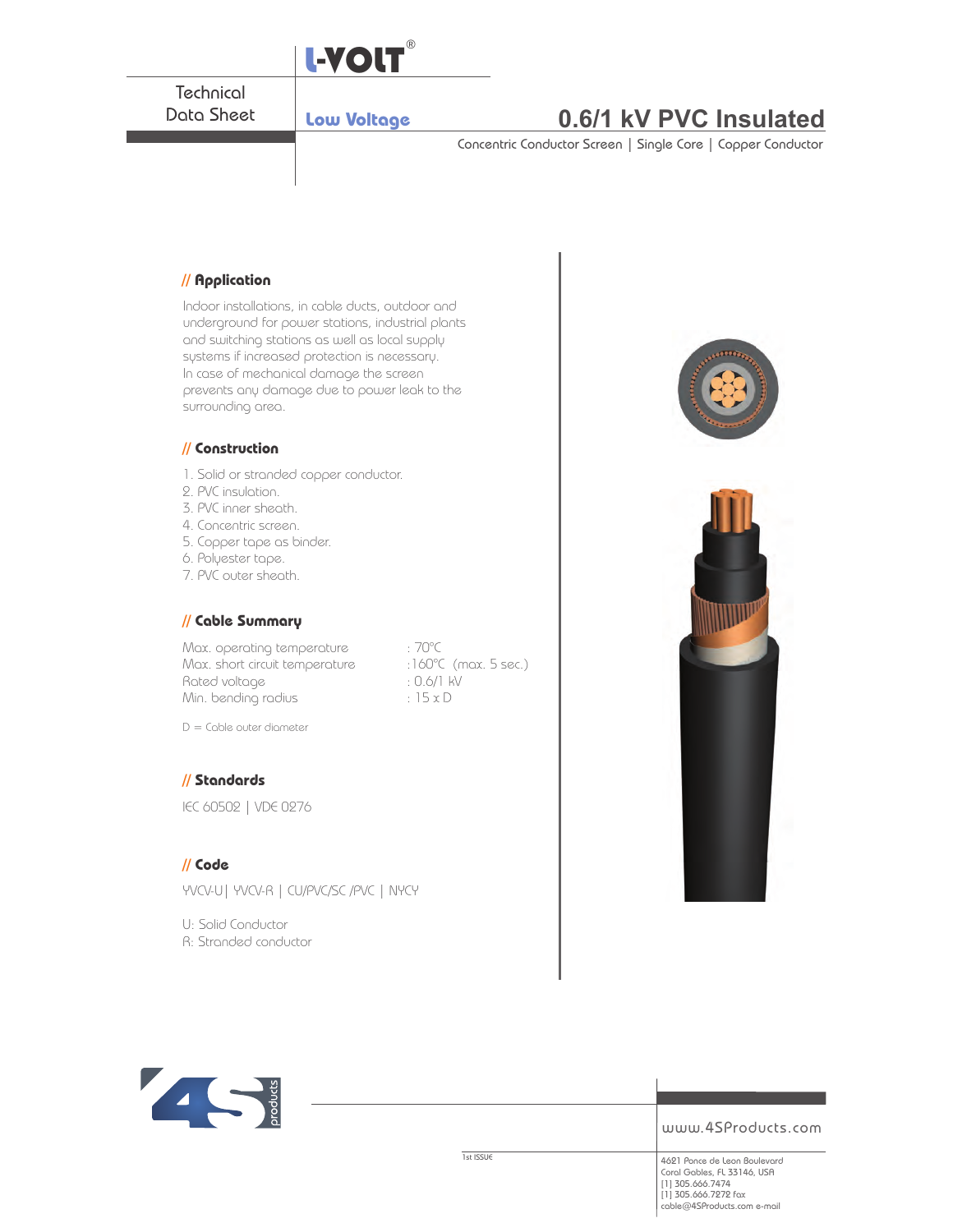

## **// Application**

Indoor installations, in cable ducts, outdoor and underground for power stations, industrial plants and switching stations as well as local supply systems if increased protection is necessary. In case of mechanical damage the screen prevents any damage due to power leak to the surrounding area.

#### **// Construction**

- 1. Solid or stranded copper conductor.
- 2. PVC insulation.
- 3. PVC inner sheath.
- 4. Concentric screen.
- 5. Copper tape as binder.
- 6. Polyester tape.
- 7. PVC outer sheath.

#### **// Cable Summary**

Max. operating temperature : 70°C Max. short circuit temperature :160°C (max. 5 sec.) Rated voltage  $: 0.6/1 \text{ kV}$ Min. bending radius  $: 15 \times D$ 

D = Cable outer diameter

### **// Standards**

IEC 60502 | VDE 0276

#### **// Code**

YVCV-U| YVCV-R | CU/PVC/SC /PVC | NYCY

U: Solid Conductor R: Stranded conductor





www.4SProducts.com